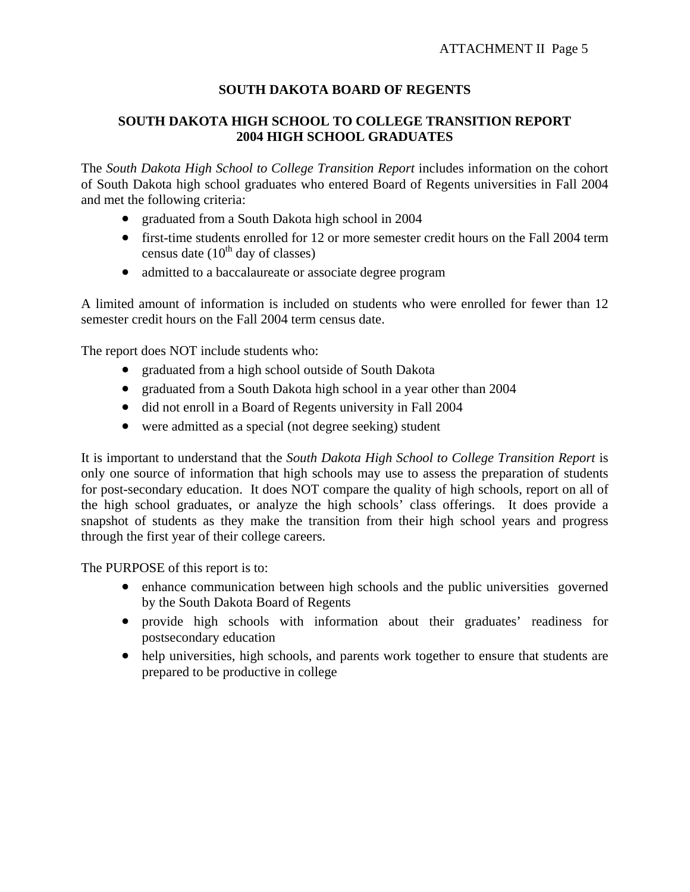# **SOUTH DAKOTA BOARD OF REGENTS**

# **SOUTH DAKOTA HIGH SCHOOL TO COLLEGE TRANSITION REPORT 2004 HIGH SCHOOL GRADUATES**

The *South Dakota High School to College Transition Report* includes information on the cohort of South Dakota high school graduates who entered Board of Regents universities in Fall 2004 and met the following criteria:

- graduated from a South Dakota high school in 2004
- first-time students enrolled for 12 or more semester credit hours on the Fall 2004 term census date  $(10^{th}$  day of classes)
- admitted to a baccalaureate or associate degree program

A limited amount of information is included on students who were enrolled for fewer than 12 semester credit hours on the Fall 2004 term census date.

The report does NOT include students who:

- graduated from a high school outside of South Dakota
- graduated from a South Dakota high school in a year other than 2004
- did not enroll in a Board of Regents university in Fall 2004
- were admitted as a special (not degree seeking) student

It is important to understand that the *South Dakota High School to College Transition Report* is only one source of information that high schools may use to assess the preparation of students for post-secondary education. It does NOT compare the quality of high schools, report on all of the high school graduates, or analyze the high schools' class offerings. It does provide a snapshot of students as they make the transition from their high school years and progress through the first year of their college careers.

The PURPOSE of this report is to:

- enhance communication between high schools and the public universities governed by the South Dakota Board of Regents
- provide high schools with information about their graduates' readiness for postsecondary education
- help universities, high schools, and parents work together to ensure that students are prepared to be productive in college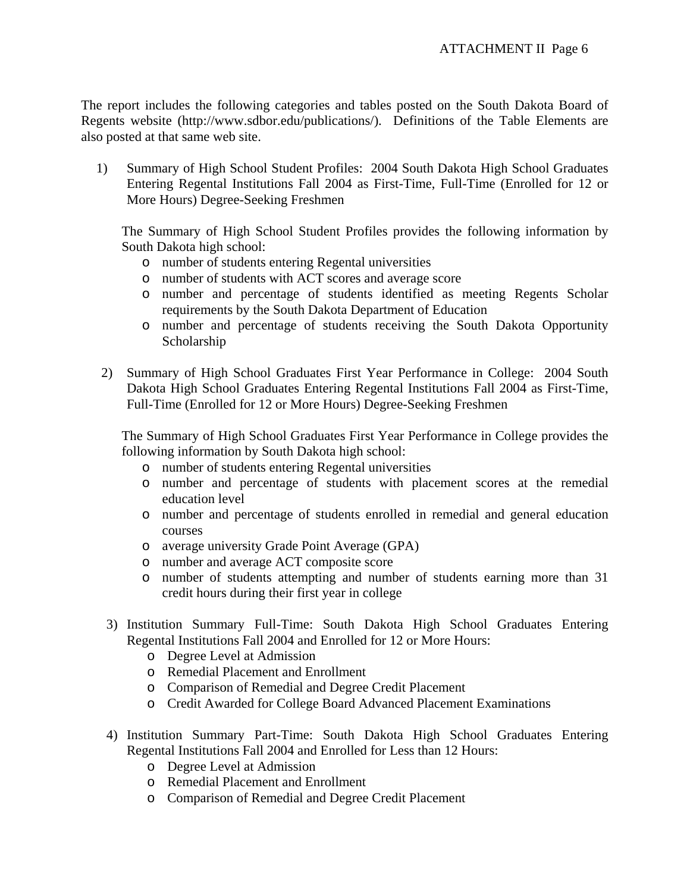The report includes the following categories and tables posted on the South Dakota Board of Regents website (http://www.sdbor.edu/publications/). Definitions of the Table Elements are also posted at that same web site.

1) Summary of High School Student Profiles: 2004 South Dakota High School Graduates Entering Regental Institutions Fall 2004 as First-Time, Full-Time (Enrolled for 12 or More Hours) Degree-Seeking Freshmen

The Summary of High School Student Profiles provides the following information by South Dakota high school:

- o number of students entering Regental universities
- o number of students with ACT scores and average score
- o number and percentage of students identified as meeting Regents Scholar requirements by the South Dakota Department of Education
- o number and percentage of students receiving the South Dakota Opportunity Scholarship
- 2) Summary of High School Graduates First Year Performance in College: 2004 South Dakota High School Graduates Entering Regental Institutions Fall 2004 as First-Time, Full-Time (Enrolled for 12 or More Hours) Degree-Seeking Freshmen

The Summary of High School Graduates First Year Performance in College provides the following information by South Dakota high school:

- o number of students entering Regental universities
- o number and percentage of students with placement scores at the remedial education level
- o number and percentage of students enrolled in remedial and general education courses
- o average university Grade Point Average (GPA)
- o number and average ACT composite score
- o number of students attempting and number of students earning more than 31 credit hours during their first year in college
- 3) Institution Summary Full-Time: South Dakota High School Graduates Entering Regental Institutions Fall 2004 and Enrolled for 12 or More Hours:
	- o Degree Level at Admission
	- o Remedial Placement and Enrollment
	- o Comparison of Remedial and Degree Credit Placement
	- o Credit Awarded for College Board Advanced Placement Examinations
- 4) Institution Summary Part-Time: South Dakota High School Graduates Entering Regental Institutions Fall 2004 and Enrolled for Less than 12 Hours:
	- o Degree Level at Admission
	- o Remedial Placement and Enrollment
	- o Comparison of Remedial and Degree Credit Placement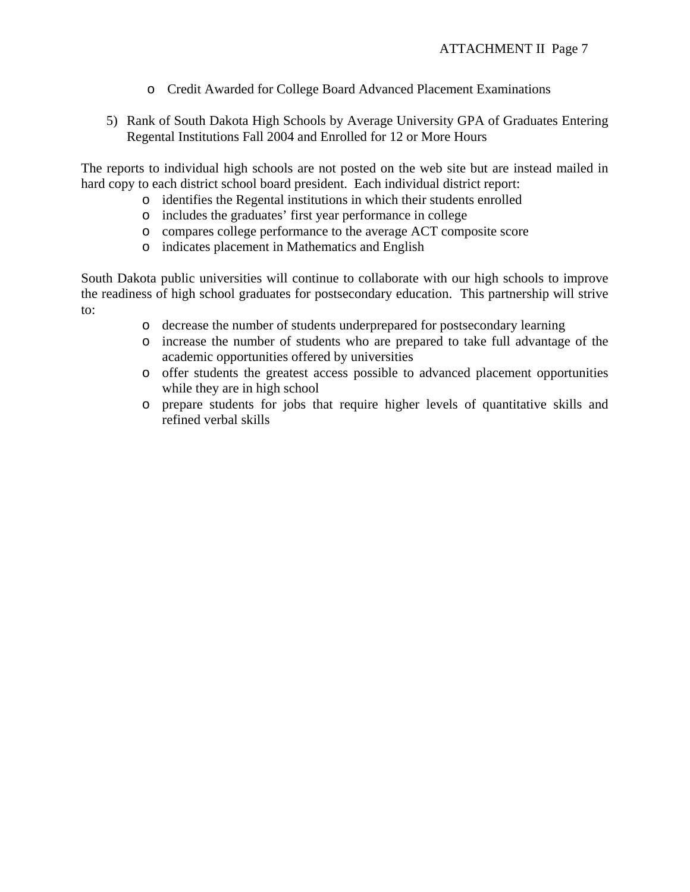- o Credit Awarded for College Board Advanced Placement Examinations
- 5) Rank of South Dakota High Schools by Average University GPA of Graduates Entering Regental Institutions Fall 2004 and Enrolled for 12 or More Hours

The reports to individual high schools are not posted on the web site but are instead mailed in hard copy to each district school board president. Each individual district report:

- o identifies the Regental institutions in which their students enrolled
- o includes the graduates' first year performance in college
- o compares college performance to the average ACT composite score
- o indicates placement in Mathematics and English

South Dakota public universities will continue to collaborate with our high schools to improve the readiness of high school graduates for postsecondary education. This partnership will strive to:

- o decrease the number of students underprepared for postsecondary learning
- o increase the number of students who are prepared to take full advantage of the academic opportunities offered by universities
- o offer students the greatest access possible to advanced placement opportunities while they are in high school
- o prepare students for jobs that require higher levels of quantitative skills and refined verbal skills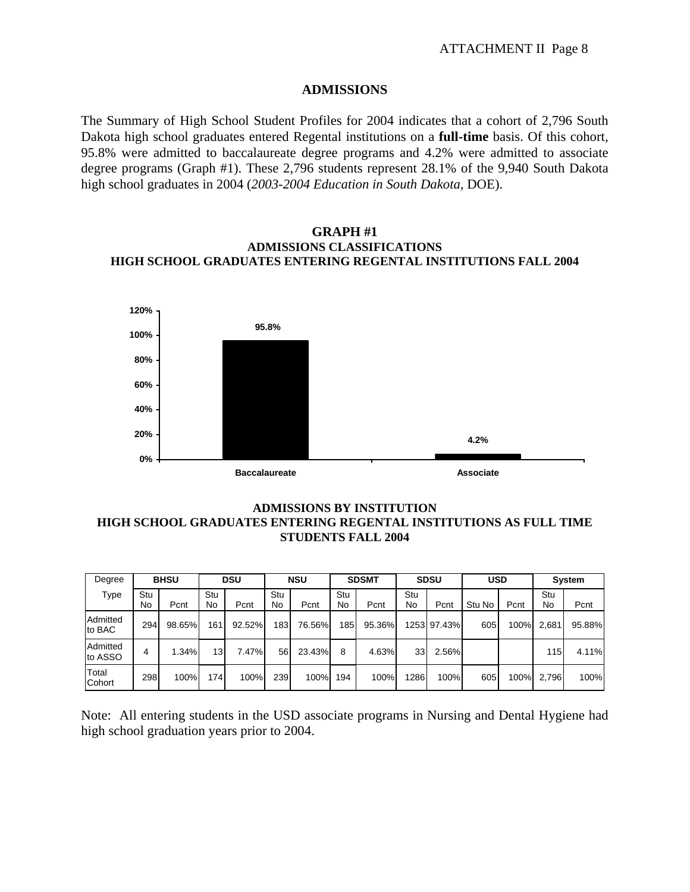### **ADMISSIONS**

The Summary of High School Student Profiles for 2004 indicates that a cohort of 2,796 South Dakota high school graduates entered Regental institutions on a **full-time** basis. Of this cohort, 95.8% were admitted to baccalaureate degree programs and 4.2% were admitted to associate degree programs (Graph #1). These 2,796 students represent 28.1% of the 9,940 South Dakota high school graduates in 2004 (*2003-2004 Education in South Dakota,* DOE).

#### **GRAPH #1 ADMISSIONS CLASSIFICATIONS HIGH SCHOOL GRADUATES ENTERING REGENTAL INSTITUTIONS FALL 2004**



### **ADMISSIONS BY INSTITUTION HIGH SCHOOL GRADUATES ENTERING REGENTAL INSTITUTIONS AS FULL TIME STUDENTS FALL 2004**

| Degree              | <b>BHSU</b> |        | <b>DSU</b> |        | <b>NSU</b> |        | <b>SDSMT</b> |        | <b>SDSU</b>     |             | <b>USD</b> |      | System    |        |
|---------------------|-------------|--------|------------|--------|------------|--------|--------------|--------|-----------------|-------------|------------|------|-----------|--------|
| Type                | Stu<br>No   | Pcnt   | Stu<br>No  | Pcnt   | Stu<br>No  | Pcnt   | Stu<br>No    | Pcnt   | Stu<br>No       | Pcnt        | Stu No     | Pcnt | Stu<br>No | Pcnt   |
| Admitted<br>to BAC  | 294         | 98.65% | 161.       | 92.52% | 183        | 76.56% | 185          | 95.36% |                 | 1253 97.43% | 605        | 100% | 2.681     | 95.88% |
| Admitted<br>to ASSO | 4           | 1.34%  | 13         | 7.47%  | 56         | 23.43% | 8            | 4.63%  | 33 <sub>l</sub> | 2.56%       |            |      | 115       | 4.11%  |
| Total<br>Cohort     | 298         | 100%   | 174        | 100%   | 239        | 100%   | 194          | 100%   | 1286            | 100%        | 605        | 100% | 2.796     | 100%   |

Note: All entering students in the USD associate programs in Nursing and Dental Hygiene had high school graduation years prior to 2004.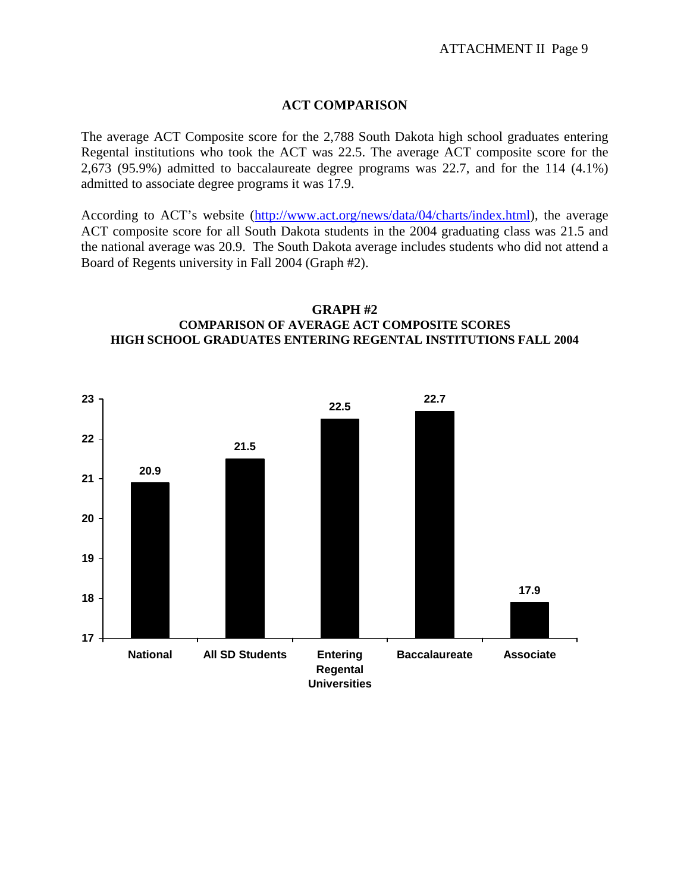## **ACT COMPARISON**

The average ACT Composite score for the 2,788 South Dakota high school graduates entering Regental institutions who took the ACT was 22.5. The average ACT composite score for the 2,673 (95.9%) admitted to baccalaureate degree programs was 22.7, and for the 114 (4.1%) admitted to associate degree programs it was 17.9.

According to ACT's website (http://www.act.org/news/data/04/charts/index.html), the average ACT composite score for all South Dakota students in the 2004 graduating class was 21.5 and the national average was 20.9. The South Dakota average includes students who did not attend a Board of Regents university in Fall 2004 (Graph #2).



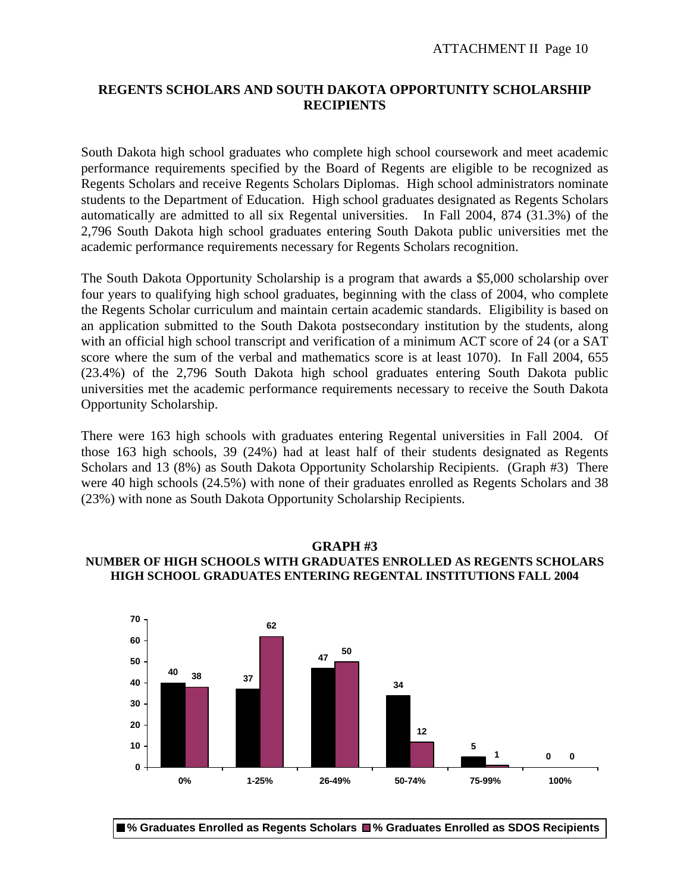## **REGENTS SCHOLARS AND SOUTH DAKOTA OPPORTUNITY SCHOLARSHIP RECIPIENTS**

South Dakota high school graduates who complete high school coursework and meet academic performance requirements specified by the Board of Regents are eligible to be recognized as Regents Scholars and receive Regents Scholars Diplomas. High school administrators nominate students to the Department of Education. High school graduates designated as Regents Scholars automatically are admitted to all six Regental universities. In Fall 2004, 874 (31.3%) of the 2,796 South Dakota high school graduates entering South Dakota public universities met the academic performance requirements necessary for Regents Scholars recognition.

The South Dakota Opportunity Scholarship is a program that awards a \$5,000 scholarship over four years to qualifying high school graduates, beginning with the class of 2004, who complete the Regents Scholar curriculum and maintain certain academic standards. Eligibility is based on an application submitted to the South Dakota postsecondary institution by the students, along with an official high school transcript and verification of a minimum ACT score of 24 (or a SAT score where the sum of the verbal and mathematics score is at least 1070). In Fall 2004, 655 (23.4%) of the 2,796 South Dakota high school graduates entering South Dakota public universities met the academic performance requirements necessary to receive the South Dakota Opportunity Scholarship.

There were 163 high schools with graduates entering Regental universities in Fall 2004. Of those 163 high schools, 39 (24%) had at least half of their students designated as Regents Scholars and 13 (8%) as South Dakota Opportunity Scholarship Recipients. (Graph #3) There were 40 high schools (24.5%) with none of their graduates enrolled as Regents Scholars and 38 (23%) with none as South Dakota Opportunity Scholarship Recipients.

## **GRAPH #3 NUMBER OF HIGH SCHOOLS WITH GRADUATES ENROLLED AS REGENTS SCHOLARS HIGH SCHOOL GRADUATES ENTERING REGENTAL INSTITUTIONS FALL 2004**



**% Graduates Enrolled as Regents Scholars % Graduates Enrolled as SDOS Recipients**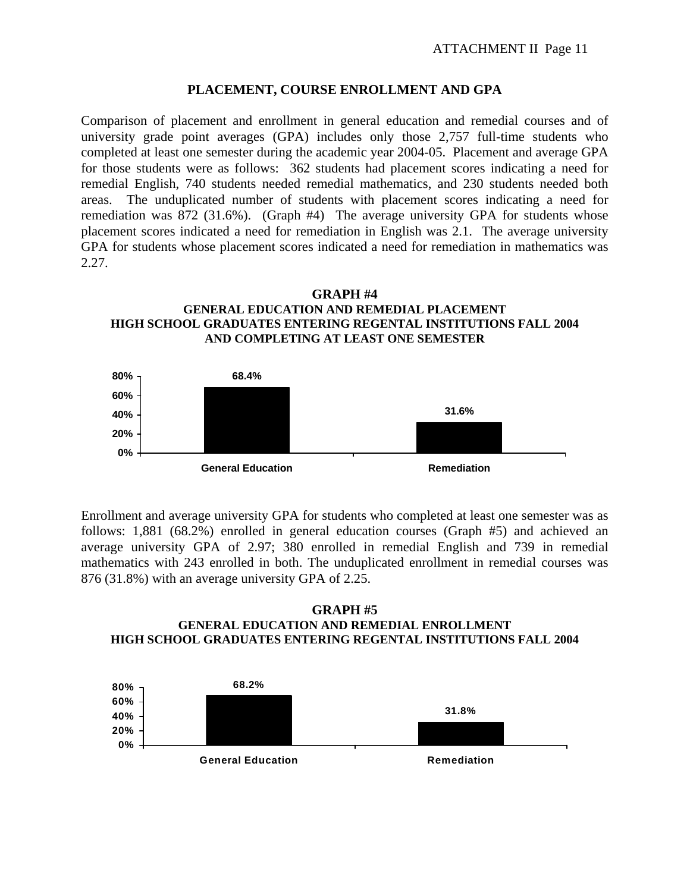### **PLACEMENT, COURSE ENROLLMENT AND GPA**

Comparison of placement and enrollment in general education and remedial courses and of university grade point averages (GPA) includes only those 2,757 full-time students who completed at least one semester during the academic year 2004-05. Placement and average GPA for those students were as follows: 362 students had placement scores indicating a need for remedial English, 740 students needed remedial mathematics, and 230 students needed both areas. The unduplicated number of students with placement scores indicating a need for remediation was 872 (31.6%). (Graph #4) The average university GPA for students whose placement scores indicated a need for remediation in English was 2.1. The average university GPA for students whose placement scores indicated a need for remediation in mathematics was 2.27.





Enrollment and average university GPA for students who completed at least one semester was as follows: 1,881 (68.2%) enrolled in general education courses (Graph #5) and achieved an average university GPA of 2.97; 380 enrolled in remedial English and 739 in remedial mathematics with 243 enrolled in both. The unduplicated enrollment in remedial courses was 876 (31.8%) with an average university GPA of 2.25.

#### **GRAPH #5 GENERAL EDUCATION AND REMEDIAL ENROLLMENT HIGH SCHOOL GRADUATES ENTERING REGENTAL INSTITUTIONS FALL 2004**

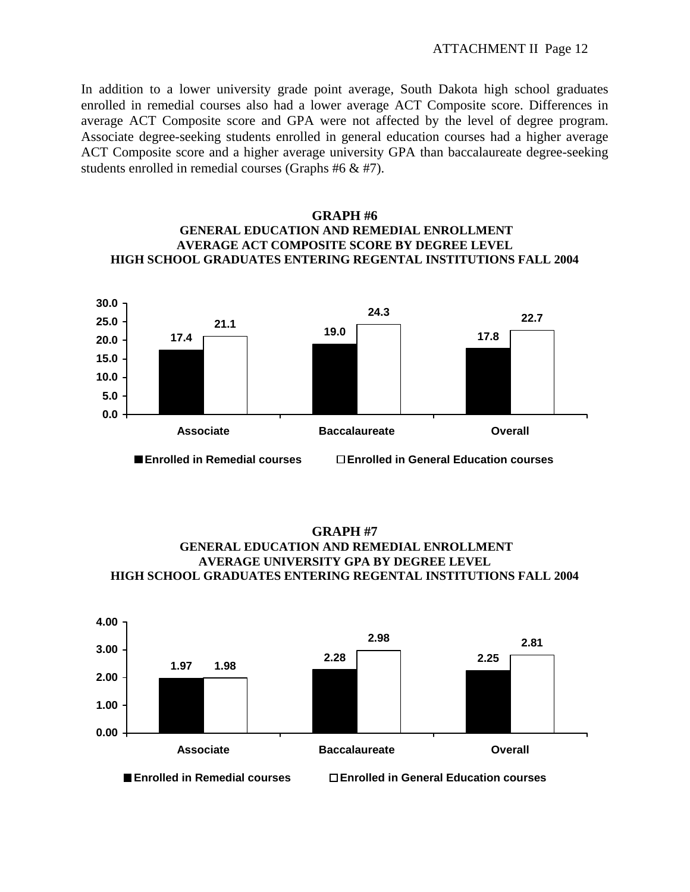In addition to a lower university grade point average, South Dakota high school graduates enrolled in remedial courses also had a lower average ACT Composite score. Differences in average ACT Composite score and GPA were not affected by the level of degree program. Associate degree-seeking students enrolled in general education courses had a higher average ACT Composite score and a higher average university GPA than baccalaureate degree-seeking students enrolled in remedial courses (Graphs #6 & #7).

## **GRAPH #6 GENERAL EDUCATION AND REMEDIAL ENROLLMENT AVERAGE ACT COMPOSITE SCORE BY DEGREE LEVEL HIGH SCHOOL GRADUATES ENTERING REGENTAL INSTITUTIONS FALL 2004**





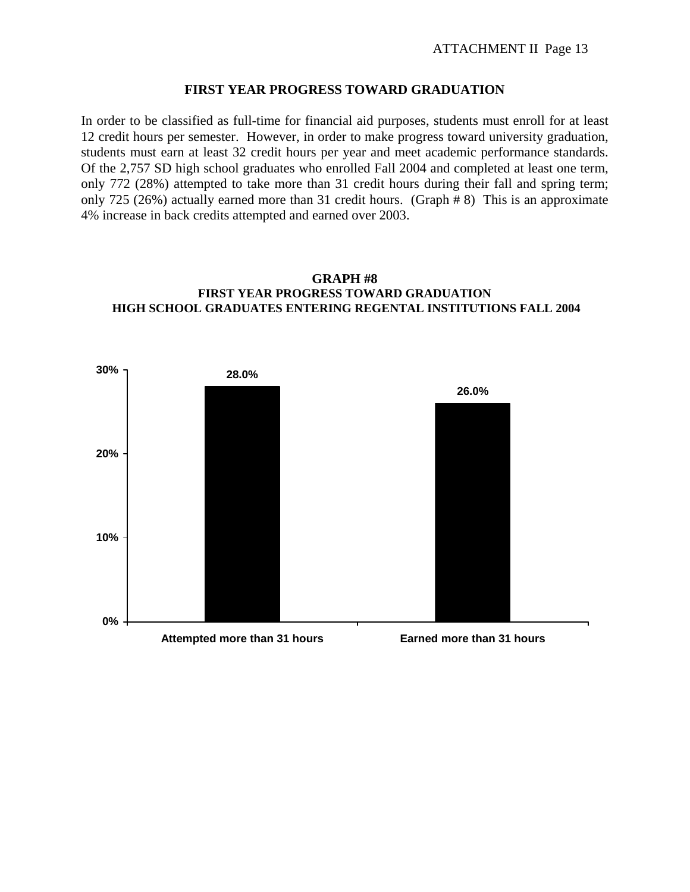### **FIRST YEAR PROGRESS TOWARD GRADUATION**

In order to be classified as full-time for financial aid purposes, students must enroll for at least 12 credit hours per semester. However, in order to make progress toward university graduation, students must earn at least 32 credit hours per year and meet academic performance standards. Of the 2,757 SD high school graduates who enrolled Fall 2004 and completed at least one term, only 772 (28%) attempted to take more than 31 credit hours during their fall and spring term; only 725 (26%) actually earned more than 31 credit hours. (Graph # 8) This is an approximate 4% increase in back credits attempted and earned over 2003.

#### **GRAPH #8 FIRST YEAR PROGRESS TOWARD GRADUATION HIGH SCHOOL GRADUATES ENTERING REGENTAL INSTITUTIONS FALL 2004**

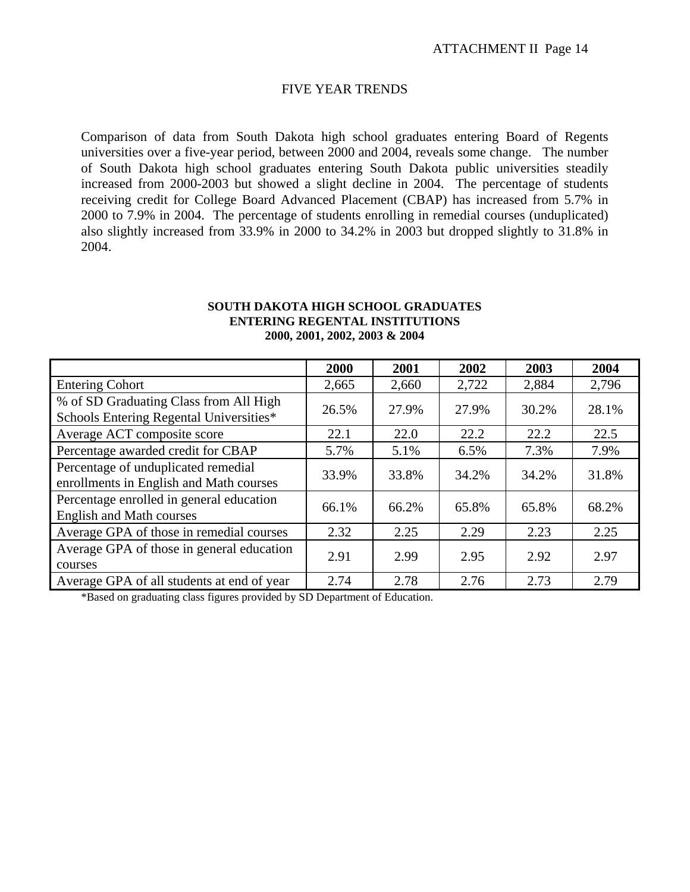#### FIVE YEAR TRENDS

Comparison of data from South Dakota high school graduates entering Board of Regents universities over a five-year period, between 2000 and 2004, reveals some change. The number of South Dakota high school graduates entering South Dakota public universities steadily increased from 2000-2003 but showed a slight decline in 2004. The percentage of students receiving credit for College Board Advanced Placement (CBAP) has increased from 5.7% in 2000 to 7.9% in 2004. The percentage of students enrolling in remedial courses (unduplicated) also slightly increased from 33.9% in 2000 to 34.2% in 2003 but dropped slightly to 31.8% in 2004.

#### **SOUTH DAKOTA HIGH SCHOOL GRADUATES ENTERING REGENTAL INSTITUTIONS 2000, 2001, 2002, 2003 & 2004**

|                                                                                   | 2000  | 2001  | 2002  | 2003  | 2004  |
|-----------------------------------------------------------------------------------|-------|-------|-------|-------|-------|
| <b>Entering Cohort</b>                                                            | 2,665 | 2,660 | 2,722 | 2,884 | 2,796 |
| % of SD Graduating Class from All High<br>Schools Entering Regental Universities* | 26.5% | 27.9% | 27.9% | 30.2% | 28.1% |
| Average ACT composite score                                                       | 22.1  | 22.0  | 22.2  | 22.2  | 22.5  |
| Percentage awarded credit for CBAP                                                | 5.7%  | 5.1%  | 6.5%  | 7.3%  | 7.9%  |
| Percentage of unduplicated remedial<br>enrollments in English and Math courses    | 33.9% | 33.8% | 34.2% | 34.2% | 31.8% |
| Percentage enrolled in general education<br><b>English and Math courses</b>       | 66.1% | 66.2% | 65.8% | 65.8% | 68.2% |
| Average GPA of those in remedial courses                                          | 2.32  | 2.25  | 2.29  | 2.23  | 2.25  |
| Average GPA of those in general education<br>courses                              | 2.91  | 2.99  | 2.95  | 2.92  | 2.97  |
| Average GPA of all students at end of year                                        | 2.74  | 2.78  | 2.76  | 2.73  | 2.79  |

\*Based on graduating class figures provided by SD Department of Education.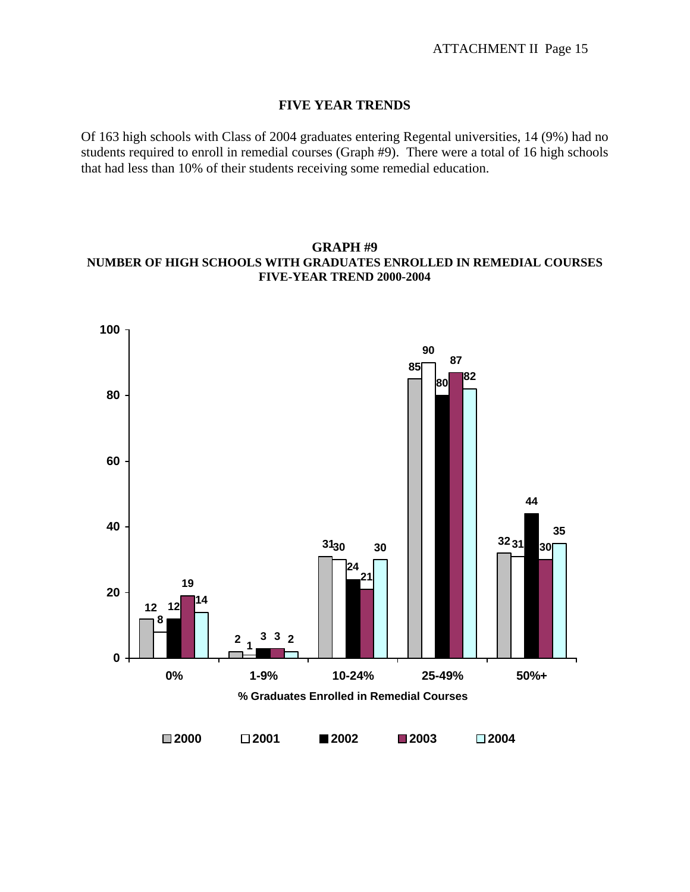### **FIVE YEAR TRENDS**

Of 163 high schools with Class of 2004 graduates entering Regental universities, 14 (9%) had no students required to enroll in remedial courses (Graph #9). There were a total of 16 high schools that had less than 10% of their students receiving some remedial education.

## **GRAPH #9 NUMBER OF HIGH SCHOOLS WITH GRADUATES ENROLLED IN REMEDIAL COURSES FIVE-YEAR TREND 2000-2004**

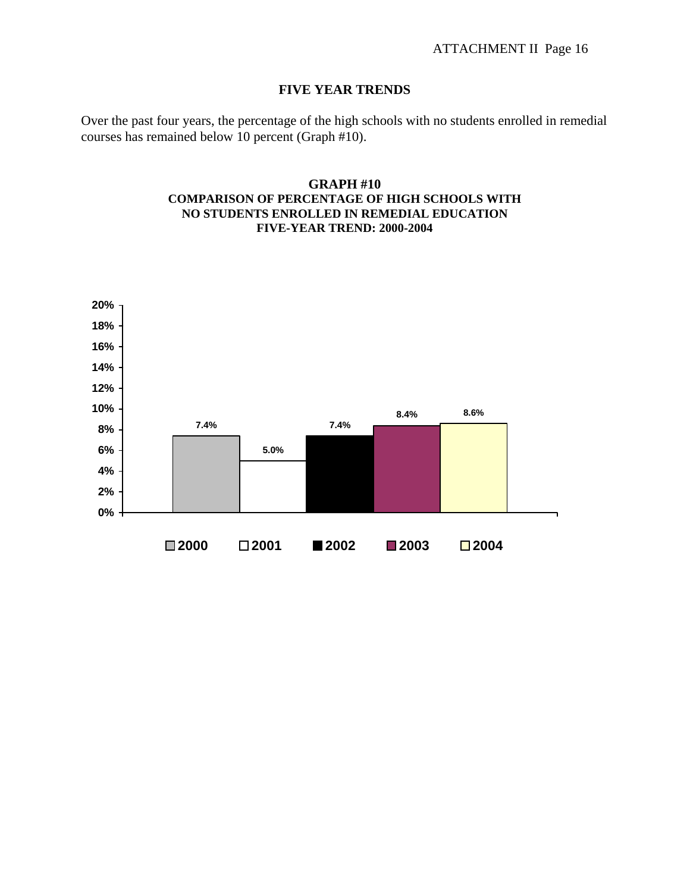## **FIVE YEAR TRENDS**

Over the past four years, the percentage of the high schools with no students enrolled in remedial courses has remained below 10 percent (Graph #10).

### **GRAPH #10 COMPARISON OF PERCENTAGE OF HIGH SCHOOLS WITH NO STUDENTS ENROLLED IN REMEDIAL EDUCATION FIVE-YEAR TREND: 2000-2004**

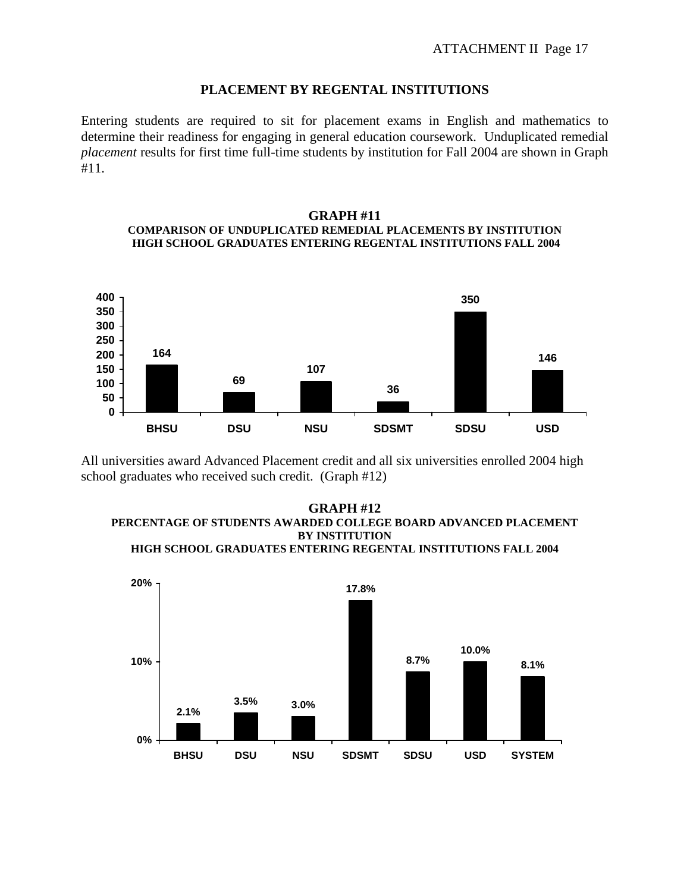### **PLACEMENT BY REGENTAL INSTITUTIONS**

Entering students are required to sit for placement exams in English and mathematics to determine their readiness for engaging in general education coursework. Unduplicated remedial *placement* results for first time full-time students by institution for Fall 2004 are shown in Graph #11.

#### **GRAPH #11 COMPARISON OF UNDUPLICATED REMEDIAL PLACEMENTS BY INSTITUTION HIGH SCHOOL GRADUATES ENTERING REGENTAL INSTITUTIONS FALL 2004**



All universities award Advanced Placement credit and all six universities enrolled 2004 high school graduates who received such credit. (Graph #12)



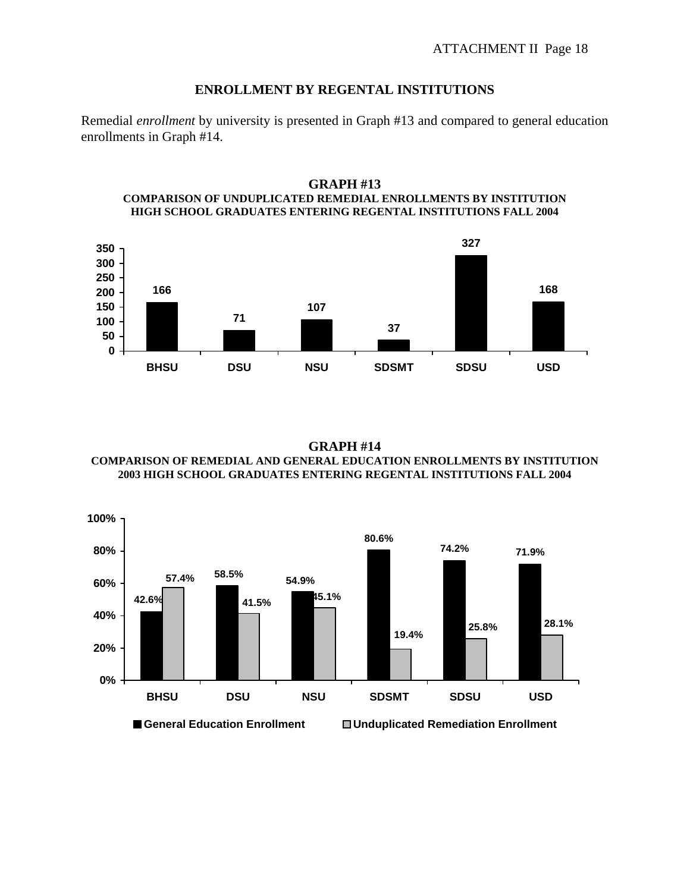### **ENROLLMENT BY REGENTAL INSTITUTIONS**

Remedial *enrollment* by university is presented in Graph #13 and compared to general education enrollments in Graph #14.



**GRAPH #13 COMPARISON OF UNDUPLICATED REMEDIAL ENROLLMENTS BY INSTITUTION HIGH SCHOOL GRADUATES ENTERING REGENTAL INSTITUTIONS FALL 2004** 

**GRAPH #14 COMPARISON OF REMEDIAL AND GENERAL EDUCATION ENROLLMENTS BY INSTITUTION 2003 HIGH SCHOOL GRADUATES ENTERING REGENTAL INSTITUTIONS FALL 2004** 

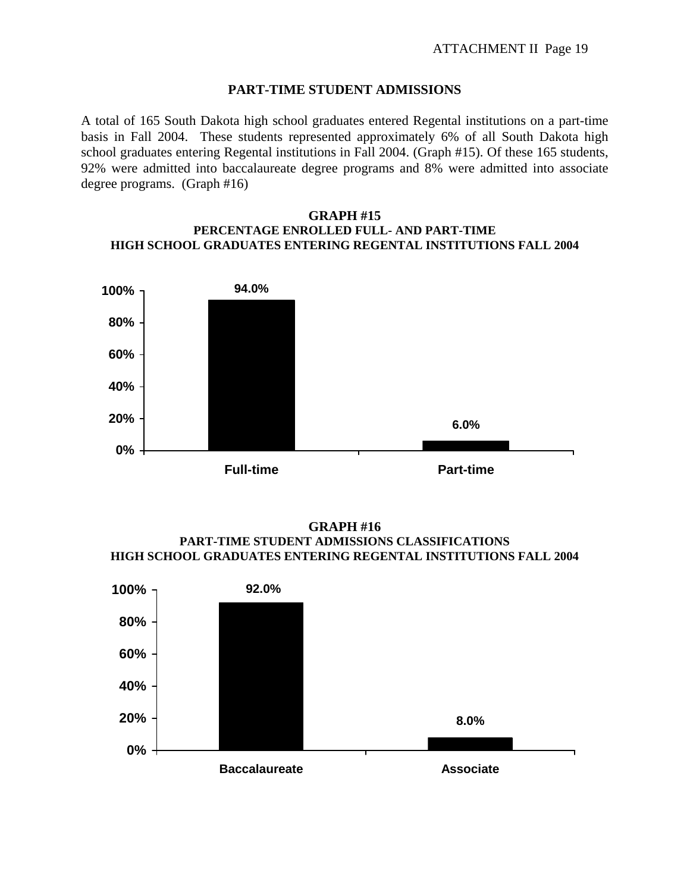#### **PART-TIME STUDENT ADMISSIONS**

A total of 165 South Dakota high school graduates entered Regental institutions on a part-time basis in Fall 2004. These students represented approximately 6% of all South Dakota high school graduates entering Regental institutions in Fall 2004. (Graph #15). Of these 165 students, 92% were admitted into baccalaureate degree programs and 8% were admitted into associate degree programs. (Graph #16)

#### **GRAPH #15 PERCENTAGE ENROLLED FULL- AND PART-TIME HIGH SCHOOL GRADUATES ENTERING REGENTAL INSTITUTIONS FALL 2004**